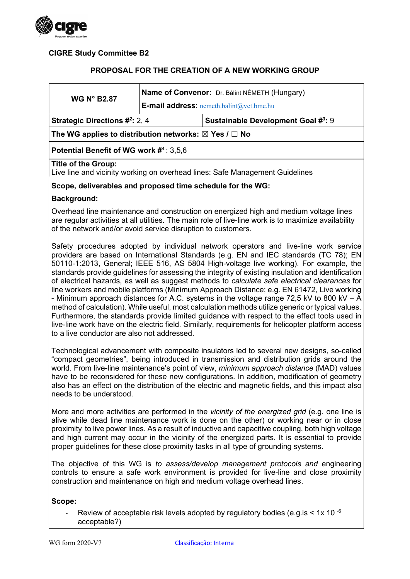

## CIGRE Study Committee B2

### PROPOSAL FOR THE CREATION OF A NEW WORKING GROUP

| <b>WG N° B2.87</b>                                                                                         | Name of Convenor: Dr. Bálint NÉMETH (Hungary)<br><b>E-mail address:</b> nemeth.balint@vet.bme.hu |                                           |
|------------------------------------------------------------------------------------------------------------|--------------------------------------------------------------------------------------------------|-------------------------------------------|
| <b>Strategic Directions #2: 2, 4</b>                                                                       |                                                                                                  | <b>Sustainable Development Goal #3: 9</b> |
| The WG applies to distribution networks: $\boxtimes$ Yes / $\Box$ No                                       |                                                                                                  |                                           |
| Potential Benefit of WG work $\#^4$ : 3,5,6                                                                |                                                                                                  |                                           |
| <b>Title of the Group:</b><br>Live line and vicinity working on overhead lines: Safe Management Guidelines |                                                                                                  |                                           |
| Scope, deliverables and proposed time schedule for the WG:                                                 |                                                                                                  |                                           |
|                                                                                                            |                                                                                                  |                                           |

#### Background:

Overhead line maintenance and construction on energized high and medium voltage lines are regular activities at all utilities. The main role of live-line work is to maximize availability of the network and/or avoid service disruption to customers.

Safety procedures adopted by individual network operators and live-line work service providers are based on International Standards (e.g. EN and IEC standards (TC 78); EN 50110-1:2013, General; IEEE 516, AS 5804 High-voltage live working). For example, the standards provide guidelines for assessing the integrity of existing insulation and identification of electrical hazards, as well as suggest methods to calculate safe electrical clearances for line workers and mobile platforms (Minimum Approach Distance; e.g. EN 61472, Live working - Minimum approach distances for A.C. systems in the voltage range 72,5 kV to 800 kV – A method of calculation). While useful, most calculation methods utilize generic or typical values. Furthermore, the standards provide limited guidance with respect to the effect tools used in live-line work have on the electric field. Similarly, requirements for helicopter platform access to a live conductor are also not addressed.

Technological advancement with composite insulators led to several new designs, so-called "compact geometries", being introduced in transmission and distribution grids around the world. From live-line maintenance's point of view, *minimum approach distance* (MAD) values have to be reconsidered for these new configurations. In addition, modification of geometry also has an effect on the distribution of the electric and magnetic fields, and this impact also needs to be understood.

More and more activities are performed in the *vicinity of the energized grid* (e.g. one line is alive while dead line maintenance work is done on the other) or working near or in close proximity to live power lines. As a result of inductive and capacitive coupling, both high voltage and high current may occur in the vicinity of the energized parts. It is essential to provide proper guidelines for these close proximity tasks in all type of grounding systems.

The objective of this WG is to assess/develop management protocols and engineering controls to ensure a safe work environment is provided for live-line and close proximity construction and maintenance on high and medium voltage overhead lines.

#### Scope:

Review of acceptable risk levels adopted by regulatory bodies (e.g. is  $\leq 1x$  10  $\cdot$ 6 acceptable?)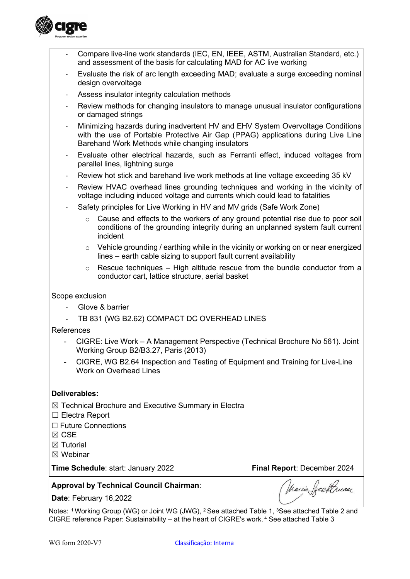

- Compare live-line work standards (IEC, EN, IEEE, ASTM, Australian Standard, etc.) and assessment of the basis for calculating MAD for AC live working
- Evaluate the risk of arc length exceeding MAD; evaluate a surge exceeding nominal design overvoltage
- Assess insulator integrity calculation methods
- Review methods for changing insulators to manage unusual insulator configurations or damaged strings
- Minimizing hazards during inadvertent HV and EHV System Overvoltage Conditions with the use of Portable Protective Air Gap (PPAG) applications during Live Line Barehand Work Methods while changing insulators
- Evaluate other electrical hazards, such as Ferranti effect, induced voltages from parallel lines, lightning surge
- Review hot stick and barehand live work methods at line voltage exceeding 35 kV
- Review HVAC overhead lines grounding techniques and working in the vicinity of voltage including induced voltage and currents which could lead to fatalities
- Safety principles for Live Working in HV and MV grids (Safe Work Zone)
	- o Cause and effects to the workers of any ground potential rise due to poor soil conditions of the grounding integrity during an unplanned system fault current incident
	- o Vehicle grounding / earthing while in the vicinity or working on or near energized lines – earth cable sizing to support fault current availability
	- $\circ$  Rescue techniques High altitude rescue from the bundle conductor from a conductor cart, lattice structure, aerial basket

#### Scope exclusion

- Glove & barrier
- TB 831 (WG B2.62) COMPACT DC OVERHEAD LINES

#### **References**

- CIGRE: Live Work A Management Perspective (Technical Brochure No 561). Joint Working Group B2/B3.27, Paris (2013)
- CIGRE, WG B2.64 Inspection and Testing of Equipment and Training for Live-Line Work on Overhead Lines

#### Deliverables:

- ☒ Technical Brochure and Executive Summary in Electra
- ☐ Electra Report
- ☐ Future Connections
- ☒ CSE
- $\boxtimes$  Tutorial
- ☒ Webinar

Time Schedule: start: January 2022 Final Report: December 2024

Marcio Secollineaer

#### Approval by Technical Council Chairman:

Date: February 16,2022

Notes: <sup>1</sup> Working Group (WG) or Joint WG (JWG), <sup>2</sup> See attached Table 1, <sup>3</sup>See attached Table 2 and CIGRE reference Paper: Sustainability – at the heart of CIGRE's work. 4 See attached Table 3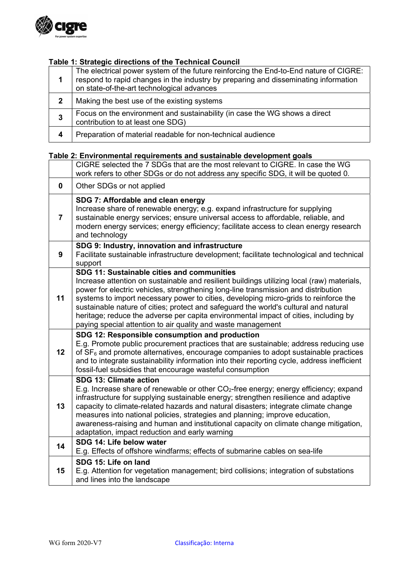

## Table 1: Strategic directions of the Technical Council

|   | The electrical power system of the future reinforcing the End-to-End nature of CIGRE:<br>respond to rapid changes in the industry by preparing and disseminating information<br>on state-of-the-art technological advances |
|---|----------------------------------------------------------------------------------------------------------------------------------------------------------------------------------------------------------------------------|
|   | Making the best use of the existing systems                                                                                                                                                                                |
| 3 | Focus on the environment and sustainability (in case the WG shows a direct<br>contribution to at least one SDG)                                                                                                            |
| 4 | Preparation of material readable for non-technical audience                                                                                                                                                                |

# Table 2: Environmental requirements and sustainable development goals

|                | CIGRE selected the 7 SDGs that are the most relevant to CIGRE. In case the WG<br>work refers to other SDGs or do not address any specific SDG, it will be quoted 0.                                                                                                                                                                                                                                                                                                                                                                                                    |
|----------------|------------------------------------------------------------------------------------------------------------------------------------------------------------------------------------------------------------------------------------------------------------------------------------------------------------------------------------------------------------------------------------------------------------------------------------------------------------------------------------------------------------------------------------------------------------------------|
| 0              | Other SDGs or not applied                                                                                                                                                                                                                                                                                                                                                                                                                                                                                                                                              |
| $\overline{7}$ | SDG 7: Affordable and clean energy<br>Increase share of renewable energy; e.g. expand infrastructure for supplying<br>sustainable energy services; ensure universal access to affordable, reliable, and<br>modern energy services; energy efficiency; facilitate access to clean energy research<br>and technology                                                                                                                                                                                                                                                     |
| 9              | SDG 9: Industry, innovation and infrastructure<br>Facilitate sustainable infrastructure development; facilitate technological and technical<br>support                                                                                                                                                                                                                                                                                                                                                                                                                 |
| 11             | SDG 11: Sustainable cities and communities<br>Increase attention on sustainable and resilient buildings utilizing local (raw) materials,<br>power for electric vehicles, strengthening long-line transmission and distribution<br>systems to import necessary power to cities, developing micro-grids to reinforce the<br>sustainable nature of cities; protect and safeguard the world's cultural and natural<br>heritage; reduce the adverse per capita environmental impact of cities, including by<br>paying special attention to air quality and waste management |
| 12             | SDG 12: Responsible consumption and production<br>E.g. Promote public procurement practices that are sustainable; address reducing use<br>of $SF6$ and promote alternatives, encourage companies to adopt sustainable practices<br>and to integrate sustainability information into their reporting cycle, address inefficient<br>fossil-fuel subsidies that encourage wasteful consumption                                                                                                                                                                            |
| 13             | SDG 13: Climate action<br>E.g. Increase share of renewable or other CO <sub>2</sub> -free energy; energy efficiency; expand<br>infrastructure for supplying sustainable energy; strengthen resilience and adaptive<br>capacity to climate-related hazards and natural disasters; integrate climate change<br>measures into national policies, strategies and planning; improve education,<br>awareness-raising and human and institutional capacity on climate change mitigation,<br>adaptation, impact reduction and early warning                                    |
| 14             | SDG 14: Life below water<br>E.g. Effects of offshore windfarms; effects of submarine cables on sea-life                                                                                                                                                                                                                                                                                                                                                                                                                                                                |
| 15             | SDG 15: Life on land<br>E.g. Attention for vegetation management; bird collisions; integration of substations<br>and lines into the landscape                                                                                                                                                                                                                                                                                                                                                                                                                          |